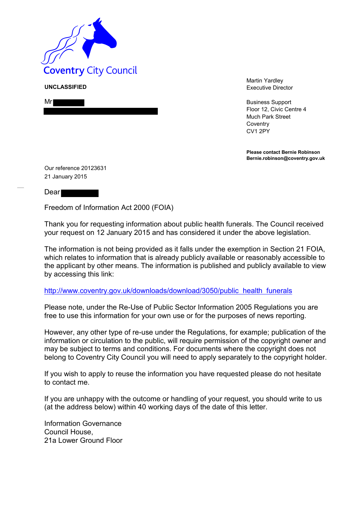

**UNCLASSIFIED**

| $\sim$ |  |
|--------|--|
|        |  |

Martin Yardley Executive Director

Business Support Floor 12, Civic Centre 4 Much Park Street **Coventry** CV1 2PY

**Please contact Bernie Robinson Bernie.robinson@coventry.gov.uk**

Our reference 20123631 21 January 2015

Dear

Freedom of Information Act 2000 (FOIA)

Thank you for requesting information about public health funerals. The Council received your request on 12 January 2015 and has considered it under the above legislation.

The information is not being provided as it falls under the exemption in Section 21 FOIA, which relates to information that is already publicly available or reasonably accessible to the applicant by other means. The information is published and publicly available to view by accessing this link:

## [http://www.coventry.gov.uk/downloads/download/3050/public health funerals](http://www.coventry.gov.uk/downloads/download/3050/public_health_funerals)

Please note, under the Re-Use of Public Sector Information 2005 Regulations you are free to use this information for your own use or for the purposes of news reporting.

However, any other type of re-use under the Regulations, for example; publication of the information or circulation to the public, will require permission of the copyright owner and may be subject to terms and conditions. For documents where the copyright does not belong to Coventry City Council you will need to apply separately to the copyright holder.

If you wish to apply to reuse the information you have requested please do not hesitate to contact me.

If you are unhappy with the outcome or handling of your request, you should write to us (at the address below) within 40 working days of the date of this letter.

Information Governance Council House, 21a Lower Ground Floor